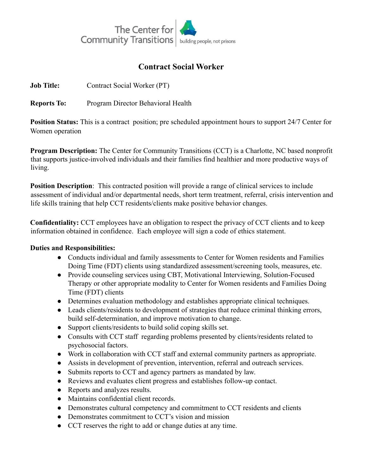

## **Contract Social Worker**

**Job Title:** Contract Social Worker (PT)

**Reports To:** Program Director Behavioral Health

**Position Status:** This is a contract position; pre scheduled appointment hours to support 24/7 Center for Women operation

**Program Description:** The Center for Community Transitions (CCT) is a Charlotte, NC based nonprofit that supports justice-involved individuals and their families find healthier and more productive ways of living.

**Position Description**: This contracted position will provide a range of clinical services to include assessment of individual and/or departmental needs, short term treatment, referral, crisis intervention and life skills training that help CCT residents/clients make positive behavior changes.

**Confidentiality:** CCT employees have an obligation to respect the privacy of CCT clients and to keep information obtained in confidence. Each employee will sign a code of ethics statement.

## **Duties and Responsibilities:**

- Conducts individual and family assessments to Center for Women residents and Families Doing Time (FDT) clients using standardized assessment/screening tools, measures, etc.
- Provide counseling services using CBT, Motivational Interviewing, Solution-Focused Therapy or other appropriate modality to Center for Women residents and Families Doing Time (FDT) clients
- Determines evaluation methodology and establishes appropriate clinical techniques.
- Leads clients/residents to development of strategies that reduce criminal thinking errors, build self-determination, and improve motivation to change.
- Support clients/residents to build solid coping skills set.
- Consults with CCT staff regarding problems presented by clients/residents related to psychosocial factors.
- Work in collaboration with CCT staff and external community partners as appropriate.
- Assists in development of prevention, intervention, referral and outreach services.
- Submits reports to CCT and agency partners as mandated by law.
- Reviews and evaluates client progress and establishes follow-up contact.
- Reports and analyzes results.
- Maintains confidential client records.
- Demonstrates cultural competency and commitment to CCT residents and clients
- Demonstrates commitment to CCT's vision and mission
- CCT reserves the right to add or change duties at any time.